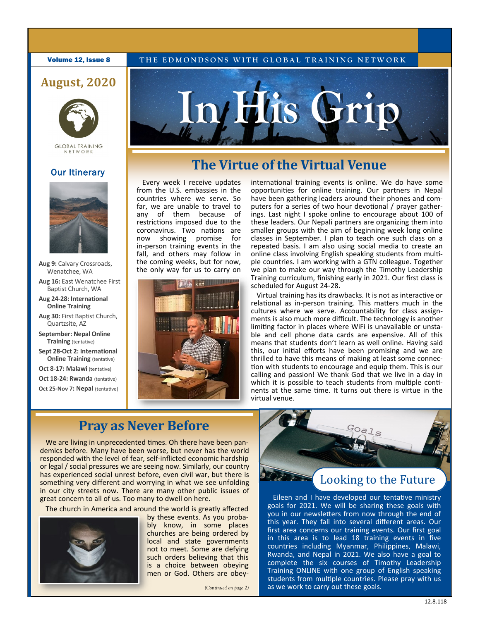#### **Volume 12, Issue 8** THE EDMONDSONS WITH GLOBAL TRAINING NETWORK

### **August, 2020**



**GLOBAL TRAINING** NFTWORK

#### **Our Itinerary**



**Aug 9:** Calvary Crossroads, Wenatchee, WA

**Aug 16:** East Wenatchee First Baptist Church, WA

- **Aug 24-28: International Online Training**
- **Aug 30:** First Baptist Church, Quartzsite, AZ
- **September: Nepal Online Training** (tentative)
- **Sept 28-Oct 2: International Online Training (tentative)**
- **Oct 8-17: Malawi** (tentative)
- **Oct 18-24: Rwanda** (tentative)
- **Oct 25-Nov 7: Nepal** (tentative)

# **In His Grip**

## **The Virtue of the Virtual Venue**

Every week I receive updates from the U.S. embassies in the countries where we serve. So far, we are unable to travel to any of them because of restrictions imposed due to the coronavirus. Two nations are now showing promise for in-person training events in the fall, and others may follow in the coming weeks, but for now, the only way for us to carry on



international training events is online. We do have some opportunities for online training. Our partners in Nepal have been gathering leaders around their phones and computers for a series of two hour devotional / prayer gatherings. Last night I spoke online to encourage about 100 of these leaders. Our Nepali partners are organizing them into smaller groups with the aim of beginning week long online classes in September. I plan to teach one such class on a repeated basis. I am also using social media to create an online class involving English speaking students from multiple countries. I am working with a GTN colleague. Together we plan to make our way through the Timothy Leadership Training curriculum, finishing early in 2021. Our first class is scheduled for August 24-28.

Virtual training has its drawbacks. It is not as interactive or relational as in-person training. This matters much in the cultures where we serve. Accountability for class assignments is also much more difficult. The technology is another limiting factor in places where WiFi is unavailable or unstable and cell phone data cards are expensive. All of this means that students don't learn as well online. Having said this, our initial efforts have been promising and we are thrilled to have this means of making at least some connection with students to encourage and equip them. This is our calling and passion! We thank God that we live in a day in which it is possible to teach students from multiple continents at the same time. It turns out there is virtue in the virtual venue.

# **Pray as Never Before**

We are living in unprecedented times. Oh there have been pandemics before. Many have been worse, but never has the world responded with the level of fear, self-inflicted economic hardship or legal / social pressures we are seeing now. Similarly, our country has experienced social unrest before, even civil war, but there is something very different and worrying in what we see unfolding in our city streets now. There are many other public issues of great concern to all of us. Too many to dwell on here.

The church in America and around the world is greatly affected



by these events. As you probably know, in some places churches are being ordered by local and state governments not to meet. Some are defying such orders believing that this is a choice between obeying men or God. Others are obey-

*(Continued on page 2)*



## Looking to the Future

Eileen and I have developed our tentative ministry goals for 2021. We will be sharing these goals with you in our newsletters from now through the end of this year. They fall into several different areas. Our first area concerns our training events. Our first goal in this area is to lead 18 training events in five countries including Myanmar, Philippines, Malawi, Rwanda, and Nepal in 2021. We also have a goal to complete the six courses of Timothy Leadership Training ONLINE with one group of English speaking students from multiple countries. Please pray with us as we work to carry out these goals.